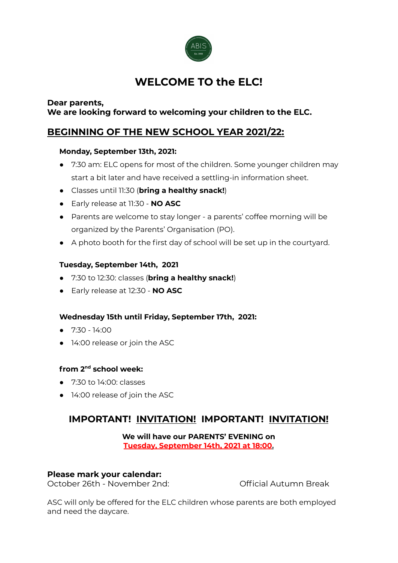

# **WELCOME TO the ELC!**

## **Dear parents, We are looking forward to welcoming your children to the ELC.**

## **BEGINNING OF THE NEW SCHOOL YEAR 2021/22:**

## **Monday, September 13th, 2021:**

- 7:30 am: ELC opens for most of the children. Some younger children may start a bit later and have received a settling-in information sheet.
- Classes until 11:30 (**bring a healthy snack!**)
- **●** Early release at 11:30 **NO ASC**
- Parents are welcome to stay longer a parents' coffee morning will be organized by the Parents' Organisation (PO).
- A photo booth for the first day of school will be set up in the courtyard.

## **Tuesday, September 14th, 2021**

- 7:30 to 12:30: classes (**bring a healthy snack!**)
- Early release at 12:30 **NO ASC**

## **Wednesday 15th until Friday, September 17th, 2021:**

- $\bullet$  7:30 14:00
- 14:00 release or join the ASC

## **from 2 nd school week:**

- 7:30 to 14:00: classes
- 14:00 release of join the ASC

## **IMPORTANT! INVITATION! IMPORTANT! INVITATION!**

#### **We will have our PARENTS' EVENING on Tuesday, September 14th, 2021 at 18:00.**

## **Please mark your calendar:**

October 26th - November 2nd: Collection Control Autumn Break

ASC will only be offered for the ELC children whose parents are both employed and need the daycare.